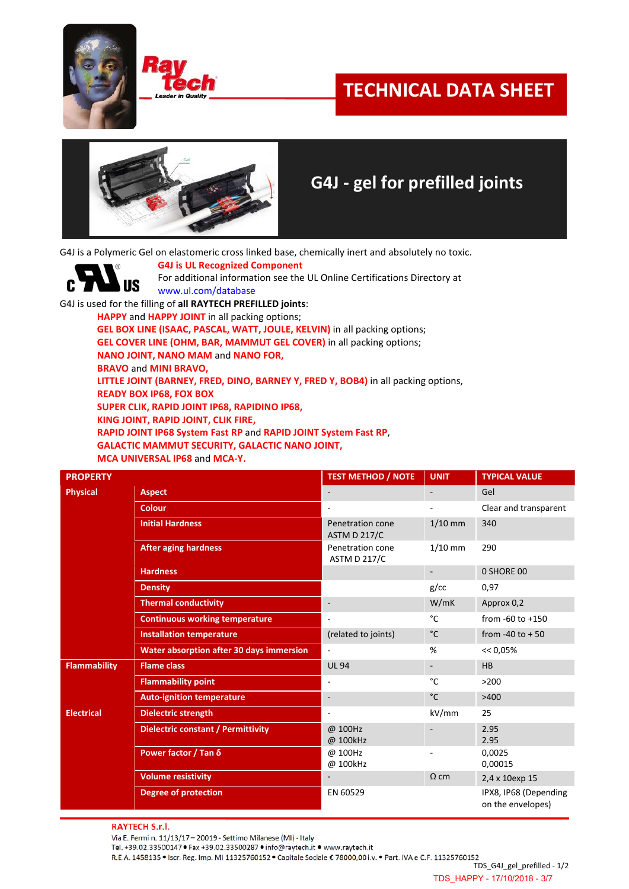

C



## **TECHNICAL DATA SHEET**



## **G4J - gel for prefilled joints**

G4J is a Polymeric Gel on elastomeric cross linked base, chemically inert and absolutely no toxic.

**G4J is UL Recognized Component** For additional information see the UL Online Certifications Directory at **US** www.ul.com/database

G4J is used for the filling of **all RAYTECH PREFILLED joints**:

**HAPPY** and **HAPPY JOINT** in all packing options;

**GEL BOX LINE (ISAAC, PASCAL, WATT, JOULE, KELVIN)** in all packing options;

**GEL COVER LINE (OHM, BAR, MAMMUT GEL COVER)** in all packing options;

**NANO JOINT, NANO MAM** and **NANO FOR,** 

**BRAVO** and **MINI BRAVO,**

**LITTLE JOINT (BARNEY, FRED, DINO, BARNEY Y, FRED Y, BOB4)** in all packing options,

**READY BOX IP68, FOX BOX**

**SUPER CLIK, RAPID JOINT IP68, RAPIDINO IP68,**

**KING JOINT, RAPID JOINT, CLIK FIRE,** 

**RAPID JOINT IP68 System Fast RP** and **RAPID JOINT System Fast RP**,

**GALACTIC MAMMUT SECURITY, GALACTIC NANO JOINT,**

**MCA UNIVERSAL IP68** and **MCA-Y.**

| <b>PROPERTY</b>     |                                                 | <b>TEST METHOD / NOTE</b>               | <b>UNIT</b>              | <b>TYPICAL VALUE</b>                       |
|---------------------|-------------------------------------------------|-----------------------------------------|--------------------------|--------------------------------------------|
| <b>Physical</b>     | <b>Aspect</b>                                   |                                         | $\overline{\phantom{a}}$ | Gel                                        |
|                     | <b>Colour</b>                                   | $\blacksquare$                          |                          | Clear and transparent                      |
|                     | <b>Initial Hardness</b>                         | Penetration cone<br><b>ASTM D 217/C</b> | $1/10$ mm                | 340                                        |
|                     | <b>After aging hardness</b>                     | Penetration cone<br><b>ASTM D 217/C</b> | $1/10$ mm                | 290                                        |
|                     | <b>Hardness</b>                                 |                                         | $\overline{\phantom{a}}$ | 0 SHORE 00                                 |
|                     | <b>Density</b>                                  |                                         | g/cc                     | 0,97                                       |
|                     | <b>Thermal conductivity</b>                     | ٠                                       | W/mK                     | Approx 0,2                                 |
|                     | <b>Continuous working temperature</b>           | $\overline{\phantom{a}}$                | °C                       | from $-60$ to $+150$                       |
|                     | <b>Installation temperature</b>                 | (related to joints)                     | $^{\circ}$ C             | from -40 to $+50$                          |
|                     | <b>Water absorption after 30 days immersion</b> | $\overline{\phantom{a}}$                | %                        | $<< 0.05\%$                                |
| <b>Flammability</b> | <b>Flame class</b>                              | <b>UL 94</b>                            | $\overline{\phantom{a}}$ | HB                                         |
|                     | <b>Flammability point</b>                       | $\overline{\phantom{a}}$                | °C                       | >200                                       |
|                     | <b>Auto-ignition temperature</b>                | ٠                                       | $^{\circ}$ C             | >400                                       |
| <b>Electrical</b>   | <b>Dielectric strength</b>                      | ٠                                       | kV/mm                    | 25                                         |
|                     | <b>Dielectric constant / Permittivity</b>       | @ 100Hz<br>@ 100kHz                     |                          | 2.95<br>2.95                               |
|                     | Power factor / Tan δ                            | @ 100Hz<br>@ 100kHz                     |                          | 0,0025<br>0,00015                          |
|                     | <b>Volume resistivity</b>                       |                                         | $\Omega$ cm              | 2,4 x 10exp 15                             |
|                     | <b>Degree of protection</b>                     | EN 60529                                |                          | IPX8, IP68 (Depending<br>on the envelopes) |

**RAYTECH S.r.l.** 

Via E. Fermi n. 11/13/17 - 20019 - Settimo Milanese (MI) - Italy Tel. +39.02.33500147 · Fax +39.02.33500287 · info@raytech.it · www.raytech.it

R.E.A. 1458135 . Iscr. Reg. Imp. MI 11325760152 . Capitale Sociale € 78000,00 i.v. . Part. IVA e C.F. 11325760152

TDS\_G4J\_gel\_prefilled - 1/2 TDS\_HAPPY - 17/10/2018 - 3/7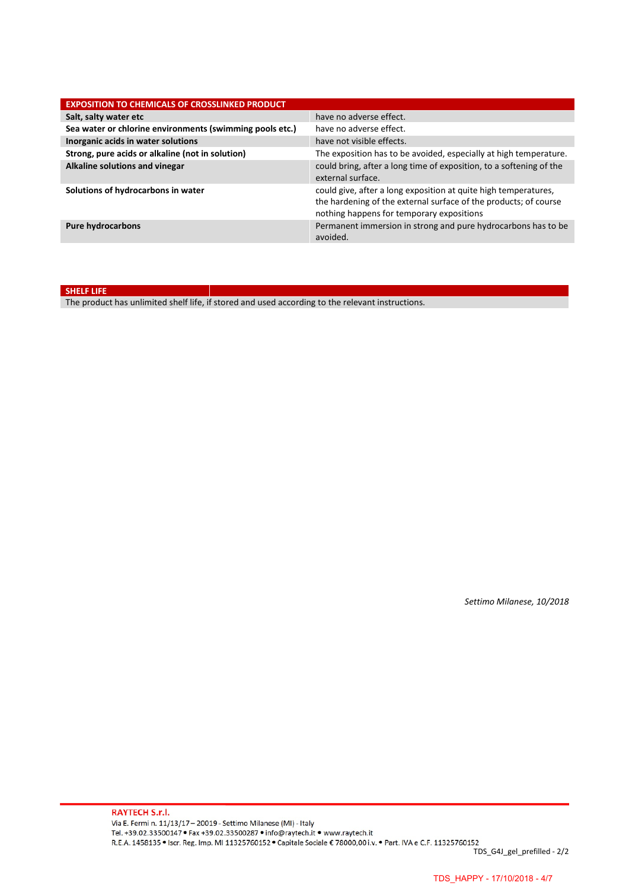| <b>EXPOSITION TO CHEMICALS OF CROSSLINKED PRODUCT</b>    |                                                                                                                                                                                  |
|----------------------------------------------------------|----------------------------------------------------------------------------------------------------------------------------------------------------------------------------------|
| Salt, salty water etc                                    | have no adverse effect.                                                                                                                                                          |
| Sea water or chlorine environments (swimming pools etc.) | have no adverse effect.                                                                                                                                                          |
| Inorganic acids in water solutions                       | have not visible effects.                                                                                                                                                        |
| Strong, pure acids or alkaline (not in solution)         | The exposition has to be avoided, especially at high temperature.                                                                                                                |
| Alkaline solutions and vinegar                           | could bring, after a long time of exposition, to a softening of the<br>external surface.                                                                                         |
| Solutions of hydrocarbons in water                       | could give, after a long exposition at quite high temperatures,<br>the hardening of the external surface of the products; of course<br>nothing happens for temporary expositions |
| <b>Pure hydrocarbons</b>                                 | Permanent immersion in strong and pure hydrocarbons has to be<br>avoided.                                                                                                        |

**SHELF LIFE**

The product has unlimited shelf life, if stored and used according to the relevant instructions.

*Settimo Milanese, 10/2018*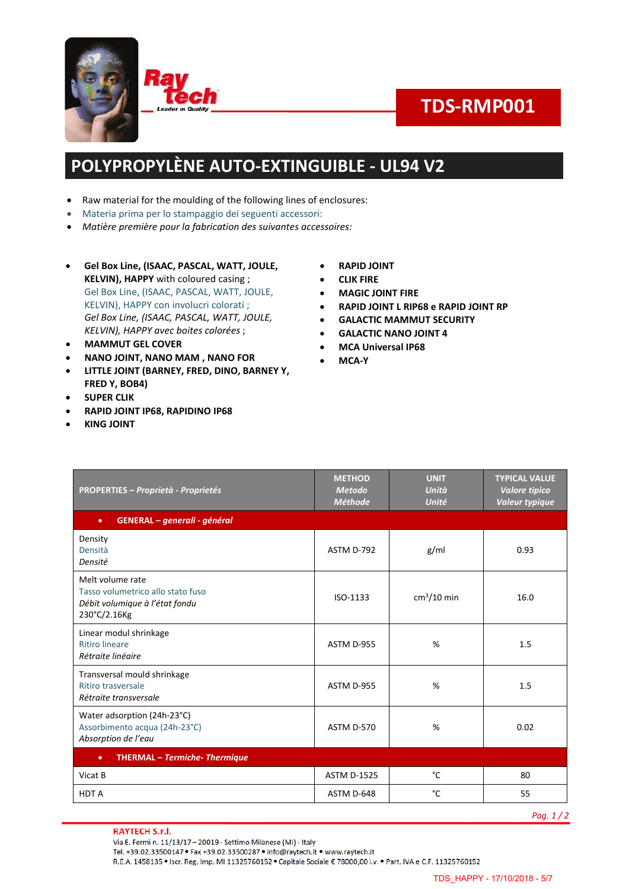



# **TDS-RMP001**

### **POLYPROPYLÈNE AUTO-EXTINGUIBLE - UL94 V2**

- Raw material for the moulding of the following lines of enclosures:
- Materia prima per lo stampaggio dei seguenti accessori:
- *Matière première pour la fabrication des suivantes accessoires:*
- **Gel Box Line, (ISAAC, PASCAL, WATT, JOULE, KELVIN), HAPPY** with coloured casing ; Gel Box Line, (ISAAC, PASCAL, WATT, JOULE, KELVIN), HAPPY con involucri colorati ; *Gel Box Line, (ISAAC, PASCAL, WATT, JOULE, KELVIN), HAPPY avec boites colorées* ;
- **MAMMUT GEL COVER**
- **NANO JOINT, NANO MAM , NANO FOR**
- **LITTLE JOINT (BARNEY, FRED, DINO, BARNEY Y, FRED Y, BOB4)**
- **SUPER CLIK**
- **RAPID JOINT IP68, RAPIDINO IP68**
- **KING JOINT**
- **RAPID JOINT**
- **CLIK FIRE**
- **MAGIC JOINT FIRE**
- **RAPID JOINT L RIP68 e RAPID JOINT RP**
- **GALACTIC MAMMUT SECURITY**
- **GALACTIC NANO JOINT 4**
- **MCA Universal IP68**
- **MCA-Y**

| <b>PROPERTIES - Proprietà - Proprietés</b>                                                              | <b>METHOD</b><br><b>Metodo</b><br><b>Méthode</b> | <b>UNIT</b><br>Unità<br>Unité | <b>TYPICAL VALUE</b><br>Valore tipico<br>Valeur typique |
|---------------------------------------------------------------------------------------------------------|--------------------------------------------------|-------------------------------|---------------------------------------------------------|
| GENERAL - generali - général<br>$\bullet$                                                               |                                                  |                               |                                                         |
| Density<br>Densità<br>Densité                                                                           | ASTM D-792                                       | g/ml                          | 0.93                                                    |
| Melt volume rate<br>Tasso volumetrico allo stato fuso<br>Débit volumique à l'état fondu<br>230°C/2.16Kg | ISO-1133                                         | $cm3/10$ min                  | 16.0                                                    |
| Linear modul shrinkage<br><b>Ritiro lineare</b><br>Rétraite linéaire                                    | ASTM D-955                                       | %                             | 1.5                                                     |
| Transversal mould shrinkage<br>Ritiro trasversale<br>Rétraite transversale                              | ASTM D-955                                       | %                             | 1.5                                                     |
| Water adsorption (24h-23°C)<br>Assorbimento acqua (24h-23°C)<br>Absorption de l'eau                     | ASTM D-570                                       | %                             | 0.02                                                    |
| <b>THERMAL - Termiche- Thermique</b><br>$\bullet$                                                       |                                                  |                               |                                                         |
| Vicat B                                                                                                 | <b>ASTM D-1525</b>                               | °C                            | 80                                                      |
| <b>HDTA</b>                                                                                             | ASTM D-648                                       | °C                            | 55                                                      |

*Pag. 1 / 2*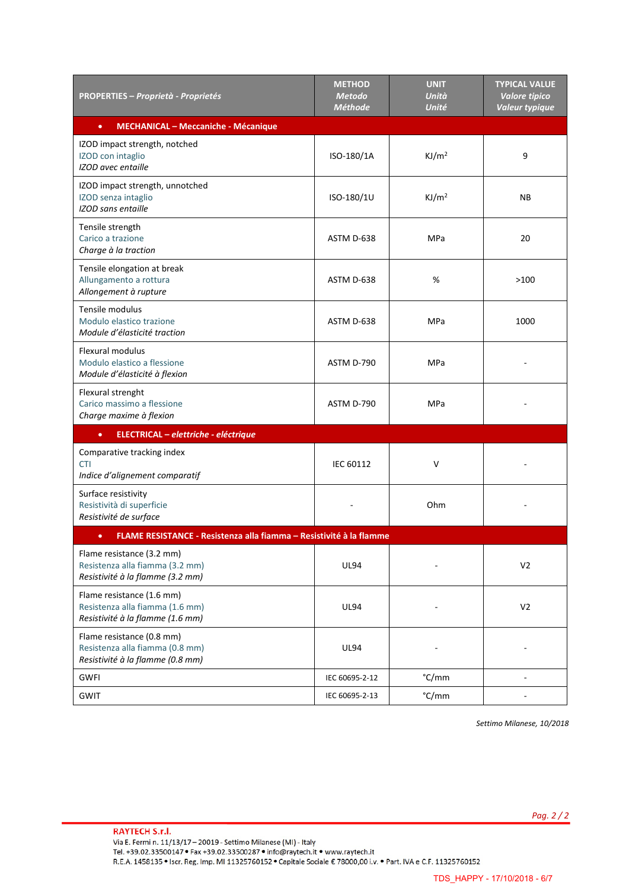| <b>PROPERTIES – Proprietà - Proprietés</b>                                                       | <b>METHOD</b><br><b>Metodo</b><br><b>Méthode</b> | <b>UNIT</b><br>Unità<br><b>Unité</b> | <b>TYPICAL VALUE</b><br><b>Valore tipico</b><br>Valeur typique |
|--------------------------------------------------------------------------------------------------|--------------------------------------------------|--------------------------------------|----------------------------------------------------------------|
| <b>MECHANICAL - Meccaniche - Mécanique</b><br>$\bullet$                                          |                                                  |                                      |                                                                |
| IZOD impact strength, notched<br>IZOD con intaglio<br><b>IZOD</b> avec entaille                  | ISO-180/1A                                       | KJ/m <sup>2</sup>                    | 9                                                              |
| IZOD impact strength, unnotched<br>IZOD senza intaglio<br>IZOD sans entaille                     | ISO-180/1U                                       | KJ/m <sup>2</sup>                    | <b>NB</b>                                                      |
| Tensile strength<br>Carico a trazione<br>Charge à la traction                                    | ASTM D-638                                       | <b>MPa</b>                           | 20                                                             |
| Tensile elongation at break<br>Allungamento a rottura<br>Allongement à rupture                   | ASTM D-638                                       | %                                    | >100                                                           |
| Tensile modulus<br>Modulo elastico trazione<br>Module d'élasticité traction                      | ASTM D-638                                       | MPa                                  | 1000                                                           |
| <b>Flexural modulus</b><br>Modulo elastico a flessione<br>Module d'élasticité à flexion          | ASTM D-790                                       | MPa                                  |                                                                |
| Flexural strenght<br>Carico massimo a flessione<br>Charge maxime à flexion                       | ASTM D-790                                       | MPa                                  |                                                                |
| ELECTRICAL - elettriche - eléctrique<br>$\bullet$                                                |                                                  |                                      |                                                                |
| Comparative tracking index<br><b>CTI</b><br>Indice d'alignement comparatif                       | <b>IEC 60112</b>                                 | $\vee$                               |                                                                |
| Surface resistivity<br>Resistività di superficie<br>Resistivité de surface                       |                                                  | Ohm                                  |                                                                |
| FLAME RESISTANCE - Resistenza alla fiamma - Resistivité à la flamme<br>$\bullet$                 |                                                  |                                      |                                                                |
| Flame resistance (3.2 mm)<br>Resistenza alla fiamma (3.2 mm)<br>Resistivité à la flamme (3.2 mm) | <b>UL94</b>                                      |                                      | V <sub>2</sub>                                                 |
| Flame resistance (1.6 mm)<br>Resistenza alla fiamma (1.6 mm)<br>Resistivité à la flamme (1.6 mm) | <b>UL94</b>                                      |                                      | V <sub>2</sub>                                                 |
| Flame resistance (0.8 mm)<br>Resistenza alla fiamma (0.8 mm)<br>Resistivité à la flamme (0.8 mm) | <b>UL94</b>                                      |                                      |                                                                |
| <b>GWFI</b>                                                                                      | IEC 60695-2-12                                   | °C/mm                                | ÷,                                                             |
| <b>GWIT</b>                                                                                      | IEC 60695-2-13                                   | °C/mm                                |                                                                |

*Settimo Milanese, 10/2018*

*Pag. 2 / 2*